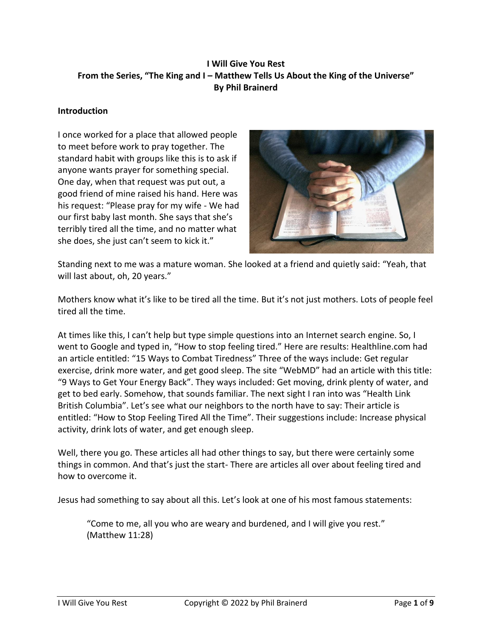# **I Will Give You Rest From the Series, "The King and I – Matthew Tells Us About the King of the Universe" By Phil Brainerd**

## **Introduction**

I once worked for a place that allowed people to meet before work to pray together. The standard habit with groups like this is to ask if anyone wants prayer for something special. One day, when that request was put out, a good friend of mine raised his hand. Here was his request: "Please pray for my wife - We had our first baby last month. She says that she's terribly tired all the time, and no matter what she does, she just can't seem to kick it."



Standing next to me was a mature woman. She looked at a friend and quietly said: "Yeah, that will last about, oh, 20 years."

Mothers know what it's like to be tired all the time. But it's not just mothers. Lots of people feel tired all the time.

At times like this, I can't help but type simple questions into an Internet search engine. So, I went to Google and typed in, "How to stop feeling tired." Here are results: Healthline.com had an article entitled: "15 Ways to Combat Tiredness" Three of the ways include: Get regular exercise, drink more water, and get good sleep. The site "WebMD" had an article with this title: "9 Ways to Get Your Energy Back". They ways included: Get moving, drink plenty of water, and get to bed early. Somehow, that sounds familiar. The next sight I ran into was "Health Link British Columbia". Let's see what our neighbors to the north have to say: Their article is entitled: "How to Stop Feeling Tired All the Time". Their suggestions include: Increase physical activity, drink lots of water, and get enough sleep.

Well, there you go. These articles all had other things to say, but there were certainly some things in common. And that's just the start- There are articles all over about feeling tired and how to overcome it.

Jesus had something to say about all this. Let's look at one of his most famous statements:

"Come to me, all you who are weary and burdened, and I will give you rest." (Matthew 11:28)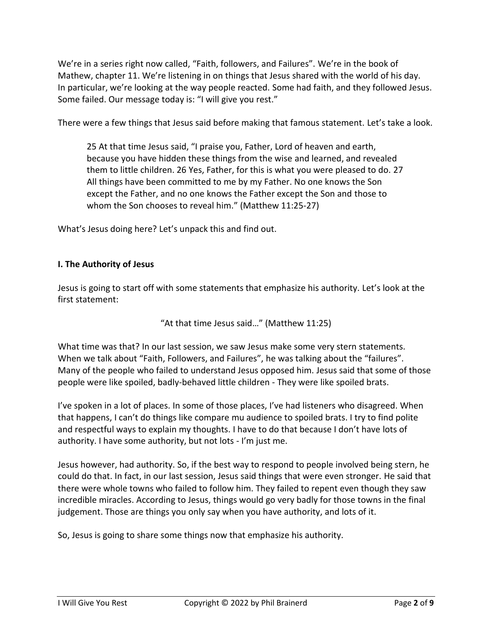We're in a series right now called, "Faith, followers, and Failures". We're in the book of Mathew, chapter 11. We're listening in on things that Jesus shared with the world of his day. In particular, we're looking at the way people reacted. Some had faith, and they followed Jesus. Some failed. Our message today is: "I will give you rest."

There were a few things that Jesus said before making that famous statement. Let's take a look.

25 At that time Jesus said, "I praise you, Father, Lord of heaven and earth, because you have hidden these things from the wise and learned, and revealed them to little children. 26 Yes, Father, for this is what you were pleased to do. 27 All things have been committed to me by my Father. No one knows the Son except the Father, and no one knows the Father except the Son and those to whom the Son chooses to reveal him." (Matthew 11:25-27)

What's Jesus doing here? Let's unpack this and find out.

#### **I. The Authority of Jesus**

Jesus is going to start off with some statements that emphasize his authority. Let's look at the first statement:

"At that time Jesus said…" (Matthew 11:25)

What time was that? In our last session, we saw Jesus make some very stern statements. When we talk about "Faith, Followers, and Failures", he was talking about the "failures". Many of the people who failed to understand Jesus opposed him. Jesus said that some of those people were like spoiled, badly-behaved little children - They were like spoiled brats.

I've spoken in a lot of places. In some of those places, I've had listeners who disagreed. When that happens, I can't do things like compare mu audience to spoiled brats. I try to find polite and respectful ways to explain my thoughts. I have to do that because I don't have lots of authority. I have some authority, but not lots - I'm just me.

Jesus however, had authority. So, if the best way to respond to people involved being stern, he could do that. In fact, in our last session, Jesus said things that were even stronger. He said that there were whole towns who failed to follow him. They failed to repent even though they saw incredible miracles. According to Jesus, things would go very badly for those towns in the final judgement. Those are things you only say when you have authority, and lots of it.

So, Jesus is going to share some things now that emphasize his authority.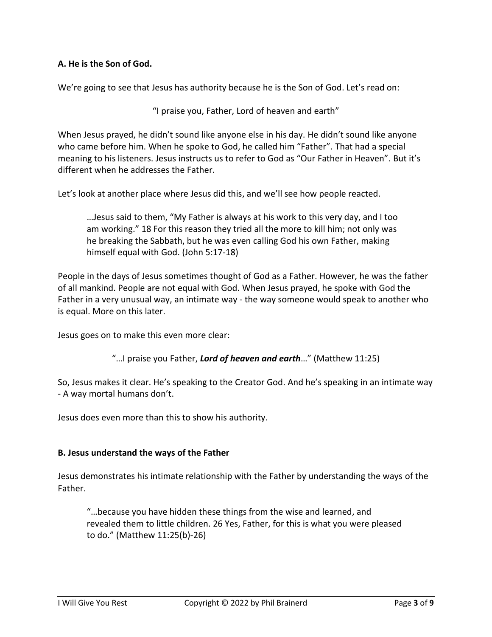## **A. He is the Son of God.**

We're going to see that Jesus has authority because he is the Son of God. Let's read on:

"I praise you, Father, Lord of heaven and earth"

When Jesus prayed, he didn't sound like anyone else in his day. He didn't sound like anyone who came before him. When he spoke to God, he called him "Father". That had a special meaning to his listeners. Jesus instructs us to refer to God as "Our Father in Heaven". But it's different when he addresses the Father.

Let's look at another place where Jesus did this, and we'll see how people reacted.

…Jesus said to them, "My Father is always at his work to this very day, and I too am working." 18 For this reason they tried all the more to kill him; not only was he breaking the Sabbath, but he was even calling God his own Father, making himself equal with God. (John 5:17-18)

People in the days of Jesus sometimes thought of God as a Father. However, he was the father of all mankind. People are not equal with God. When Jesus prayed, he spoke with God the Father in a very unusual way, an intimate way - the way someone would speak to another who is equal. More on this later.

Jesus goes on to make this even more clear:

"…I praise you Father, *Lord of heaven and earth*…" (Matthew 11:25)

So, Jesus makes it clear. He's speaking to the Creator God. And he's speaking in an intimate way - A way mortal humans don't.

Jesus does even more than this to show his authority.

#### **B. Jesus understand the ways of the Father**

Jesus demonstrates his intimate relationship with the Father by understanding the ways of the Father.

"…because you have hidden these things from the wise and learned, and revealed them to little children. 26 Yes, Father, for this is what you were pleased to do." (Matthew 11:25(b)-26)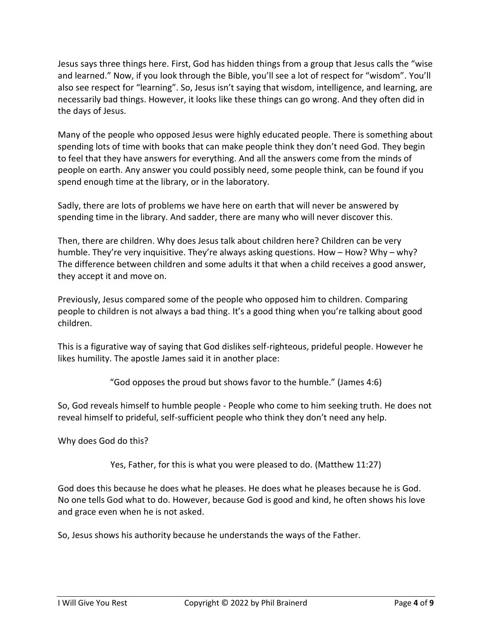Jesus says three things here. First, God has hidden things from a group that Jesus calls the "wise and learned." Now, if you look through the Bible, you'll see a lot of respect for "wisdom". You'll also see respect for "learning". So, Jesus isn't saying that wisdom, intelligence, and learning, are necessarily bad things. However, it looks like these things can go wrong. And they often did in the days of Jesus.

Many of the people who opposed Jesus were highly educated people. There is something about spending lots of time with books that can make people think they don't need God. They begin to feel that they have answers for everything. And all the answers come from the minds of people on earth. Any answer you could possibly need, some people think, can be found if you spend enough time at the library, or in the laboratory.

Sadly, there are lots of problems we have here on earth that will never be answered by spending time in the library. And sadder, there are many who will never discover this.

Then, there are children. Why does Jesus talk about children here? Children can be very humble. They're very inquisitive. They're always asking questions. How – How? Why – why? The difference between children and some adults it that when a child receives a good answer, they accept it and move on.

Previously, Jesus compared some of the people who opposed him to children. Comparing people to children is not always a bad thing. It's a good thing when you're talking about good children.

This is a figurative way of saying that God dislikes self-righteous, prideful people. However he likes humility. The apostle James said it in another place:

"God opposes the proud but shows favor to the humble." (James 4:6)

So, God reveals himself to humble people - People who come to him seeking truth. He does not reveal himself to prideful, self-sufficient people who think they don't need any help.

Why does God do this?

Yes, Father, for this is what you were pleased to do. (Matthew 11:27)

God does this because he does what he pleases. He does what he pleases because he is God. No one tells God what to do. However, because God is good and kind, he often shows his love and grace even when he is not asked.

So, Jesus shows his authority because he understands the ways of the Father.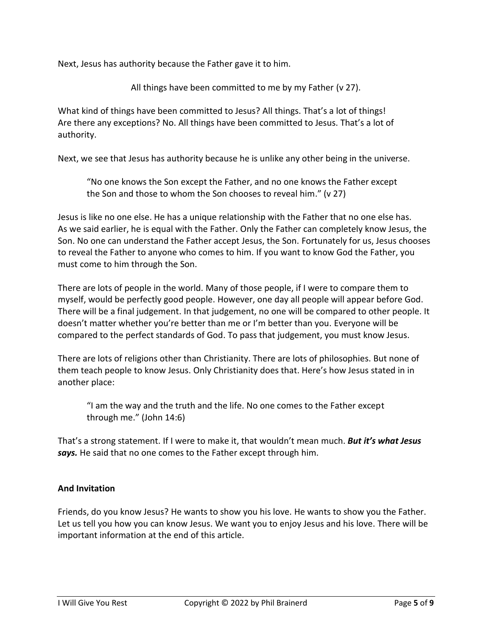Next, Jesus has authority because the Father gave it to him.

All things have been committed to me by my Father (v 27).

What kind of things have been committed to Jesus? All things. That's a lot of things! Are there any exceptions? No. All things have been committed to Jesus. That's a lot of authority.

Next, we see that Jesus has authority because he is unlike any other being in the universe.

"No one knows the Son except the Father, and no one knows the Father except the Son and those to whom the Son chooses to reveal him." (v 27)

Jesus is like no one else. He has a unique relationship with the Father that no one else has. As we said earlier, he is equal with the Father. Only the Father can completely know Jesus, the Son. No one can understand the Father accept Jesus, the Son. Fortunately for us, Jesus chooses to reveal the Father to anyone who comes to him. If you want to know God the Father, you must come to him through the Son.

There are lots of people in the world. Many of those people, if I were to compare them to myself, would be perfectly good people. However, one day all people will appear before God. There will be a final judgement. In that judgement, no one will be compared to other people. It doesn't matter whether you're better than me or I'm better than you. Everyone will be compared to the perfect standards of God. To pass that judgement, you must know Jesus.

There are lots of religions other than Christianity. There are lots of philosophies. But none of them teach people to know Jesus. Only Christianity does that. Here's how Jesus stated in in another place:

"I am the way and the truth and the life. No one comes to the Father except through me." (John 14:6)

That's a strong statement. If I were to make it, that wouldn't mean much. *But it's what Jesus says.* He said that no one comes to the Father except through him.

# **And Invitation**

Friends, do you know Jesus? He wants to show you his love. He wants to show you the Father. Let us tell you how you can know Jesus. We want you to enjoy Jesus and his love. There will be important information at the end of this article.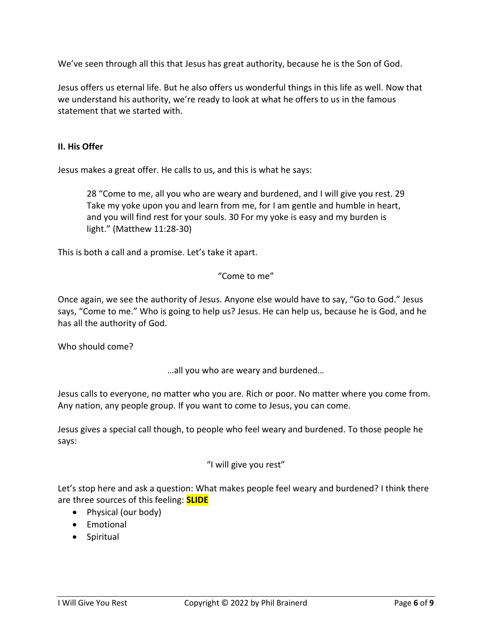We've seen through all this that Jesus has great authority, because he is the Son of God.

Jesus offers us eternal life. But he also offers us wonderful things in this life as well. Now that we understand his authority, we're ready to look at what he offers to us in the famous statement that we started with.

## **II. His Offer**

Jesus makes a great offer. He calls to us, and this is what he says:

28 "Come to me, all you who are weary and burdened, and I will give you rest. 29 Take my yoke upon you and learn from me, for I am gentle and humble in heart, and you will find rest for your souls. 30 For my yoke is easy and my burden is light." (Matthew 11:28-30)

This is both a call and a promise. Let's take it apart.

## "Come to me"

Once again, we see the authority of Jesus. Anyone else would have to say, "Go to God." Jesus says, "Come to me." Who is going to help us? Jesus. He can help us, because he is God, and he has all the authority of God.

Who should come?

…all you who are weary and burdened…

Jesus calls to everyone, no matter who you are. Rich or poor. No matter where you come from. Any nation, any people group. If you want to come to Jesus, you can come.

Jesus gives a special call though, to people who feel weary and burdened. To those people he says:

# "I will give you rest"

Let's stop here and ask a question: What makes people feel weary and burdened? I think there are three sources of this feeling: **SLIDE**

- Physical (our body)
- Emotional
- Spiritual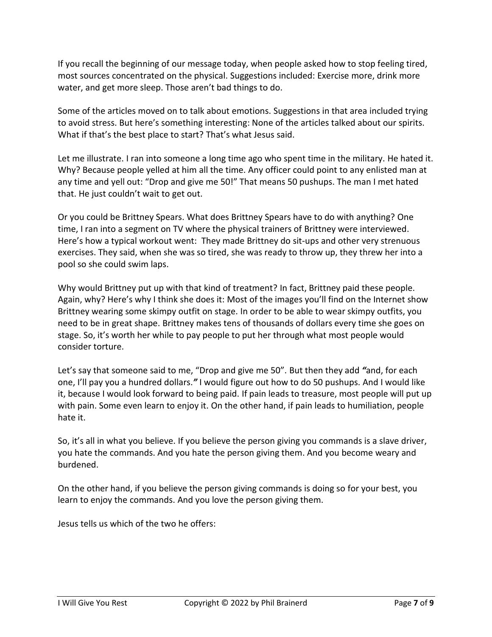If you recall the beginning of our message today, when people asked how to stop feeling tired, most sources concentrated on the physical. Suggestions included: Exercise more, drink more water, and get more sleep. Those aren't bad things to do.

Some of the articles moved on to talk about emotions. Suggestions in that area included trying to avoid stress. But here's something interesting: None of the articles talked about our spirits. What if that's the best place to start? That's what Jesus said.

Let me illustrate. I ran into someone a long time ago who spent time in the military. He hated it. Why? Because people yelled at him all the time. Any officer could point to any enlisted man at any time and yell out: "Drop and give me 50!" That means 50 pushups. The man I met hated that. He just couldn't wait to get out.

Or you could be Brittney Spears. What does Brittney Spears have to do with anything? One time, I ran into a segment on TV where the physical trainers of Brittney were interviewed. Here's how a typical workout went: They made Brittney do sit-ups and other very strenuous exercises. They said, when she was so tired, she was ready to throw up, they threw her into a pool so she could swim laps.

Why would Brittney put up with that kind of treatment? In fact, Brittney paid these people. Again, why? Here's why I think she does it: Most of the images you'll find on the Internet show Brittney wearing some skimpy outfit on stage. In order to be able to wear skimpy outfits, you need to be in great shape. Brittney makes tens of thousands of dollars every time she goes on stage. So, it's worth her while to pay people to put her through what most people would consider torture.

Let's say that someone said to me, "Drop and give me 50". But then they add *"*and, for each one, I'll pay you a hundred dollars.*"* I would figure out how to do 50 pushups. And I would like it, because I would look forward to being paid. If pain leads to treasure, most people will put up with pain. Some even learn to enjoy it. On the other hand, if pain leads to humiliation, people hate it.

So, it's all in what you believe. If you believe the person giving you commands is a slave driver, you hate the commands. And you hate the person giving them. And you become weary and burdened.

On the other hand, if you believe the person giving commands is doing so for your best, you learn to enjoy the commands. And you love the person giving them.

Jesus tells us which of the two he offers: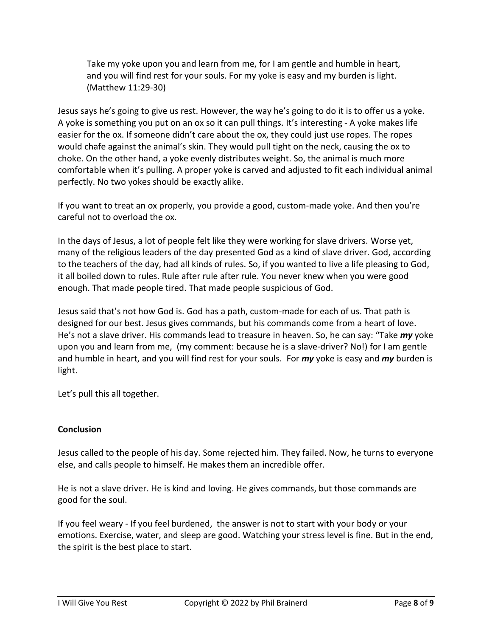Take my yoke upon you and learn from me, for I am gentle and humble in heart, and you will find rest for your souls. For my yoke is easy and my burden is light. (Matthew 11:29-30)

Jesus says he's going to give us rest. However, the way he's going to do it is to offer us a yoke. A yoke is something you put on an ox so it can pull things. It's interesting - A yoke makes life easier for the ox. If someone didn't care about the ox, they could just use ropes. The ropes would chafe against the animal's skin. They would pull tight on the neck, causing the ox to choke. On the other hand, a yoke evenly distributes weight. So, the animal is much more comfortable when it's pulling. A proper yoke is carved and adjusted to fit each individual animal perfectly. No two yokes should be exactly alike.

If you want to treat an ox properly, you provide a good, custom-made yoke. And then you're careful not to overload the ox.

In the days of Jesus, a lot of people felt like they were working for slave drivers. Worse yet, many of the religious leaders of the day presented God as a kind of slave driver. God, according to the teachers of the day, had all kinds of rules. So, if you wanted to live a life pleasing to God, it all boiled down to rules. Rule after rule after rule. You never knew when you were good enough. That made people tired. That made people suspicious of God.

Jesus said that's not how God is. God has a path, custom-made for each of us. That path is designed for our best. Jesus gives commands, but his commands come from a heart of love. He's not a slave driver. His commands lead to treasure in heaven. So, he can say: "Take *my* yoke upon you and learn from me, (my comment: because he is a slave-driver? No!) for I am gentle and humble in heart, and you will find rest for your souls. For *my* yoke is easy and *my* burden is light.

Let's pull this all together.

# **Conclusion**

Jesus called to the people of his day. Some rejected him. They failed. Now, he turns to everyone else, and calls people to himself. He makes them an incredible offer.

He is not a slave driver. He is kind and loving. He gives commands, but those commands are good for the soul.

If you feel weary - If you feel burdened, the answer is not to start with your body or your emotions. Exercise, water, and sleep are good. Watching your stress level is fine. But in the end, the spirit is the best place to start.